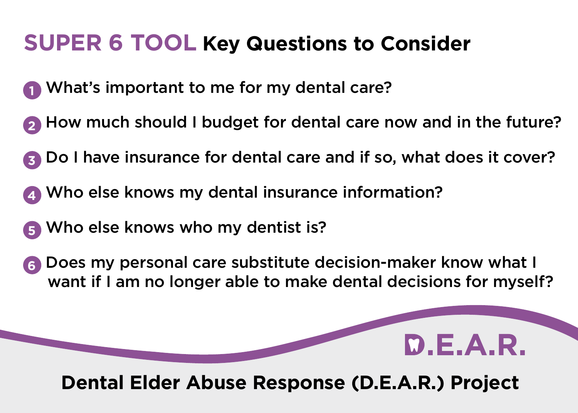## **SUPER 6 TOOL Key Questions to Consider**

- What's important to me for my dental care?
- How much should I budget for dental care now and in the future?
- Do I have insurance for dental care and if so, what does it cover?
- Who else knows my dental insurance information?
- Who else knows who my dentist is?
- Does my personal care substitute decision-maker know what I want if I am no longer able to make dental decisions for myself?



## **Dental Elder Abuse Response (D.E.A.R.) Project**